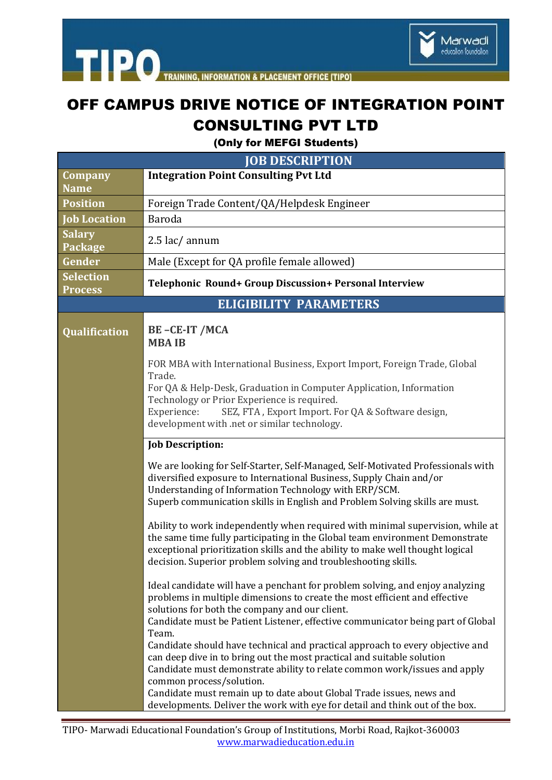

## OFF CAMPUS DRIVE NOTICE OF INTEGRATION POINT CONSULTING PVT LTD

(Only for MEFGI Students)

| <b>JOB DESCRIPTION</b>                 |                                                                                                                                                                                                                                                                                                                                                                                            |  |  |  |  |
|----------------------------------------|--------------------------------------------------------------------------------------------------------------------------------------------------------------------------------------------------------------------------------------------------------------------------------------------------------------------------------------------------------------------------------------------|--|--|--|--|
| Company                                | <b>Integration Point Consulting Pvt Ltd</b>                                                                                                                                                                                                                                                                                                                                                |  |  |  |  |
| <b>Name</b>                            |                                                                                                                                                                                                                                                                                                                                                                                            |  |  |  |  |
| <b>Position</b><br><b>Job Location</b> | Foreign Trade Content/QA/Helpdesk Engineer<br>Baroda                                                                                                                                                                                                                                                                                                                                       |  |  |  |  |
| <b>Salary</b>                          |                                                                                                                                                                                                                                                                                                                                                                                            |  |  |  |  |
| Package                                | $2.5$ lac/ annum                                                                                                                                                                                                                                                                                                                                                                           |  |  |  |  |
| Gender                                 | Male (Except for QA profile female allowed)                                                                                                                                                                                                                                                                                                                                                |  |  |  |  |
| <b>Selection</b><br><b>Process</b>     | Telephonic Round+ Group Discussion+ Personal Interview                                                                                                                                                                                                                                                                                                                                     |  |  |  |  |
|                                        | <b>ELIGIBILITY PARAMETERS</b>                                                                                                                                                                                                                                                                                                                                                              |  |  |  |  |
| <b>Qualification</b>                   | BE-CE-IT /MCA<br><b>MBA IB</b>                                                                                                                                                                                                                                                                                                                                                             |  |  |  |  |
|                                        | FOR MBA with International Business, Export Import, Foreign Trade, Global<br>Trade.<br>For QA & Help-Desk, Graduation in Computer Application, Information<br>Technology or Prior Experience is required.<br>SEZ, FTA, Export Import. For QA & Software design,<br>Experience:<br>development with .net or similar technology.                                                             |  |  |  |  |
|                                        | <b>Job Description:</b>                                                                                                                                                                                                                                                                                                                                                                    |  |  |  |  |
|                                        | We are looking for Self-Starter, Self-Managed, Self-Motivated Professionals with<br>diversified exposure to International Business, Supply Chain and/or<br>Understanding of Information Technology with ERP/SCM.<br>Superb communication skills in English and Problem Solving skills are must.                                                                                            |  |  |  |  |
|                                        | Ability to work independently when required with minimal supervision, while at<br>the same time fully participating in the Global team environment Demonstrate<br>exceptional prioritization skills and the ability to make well thought logical<br>decision. Superior problem solving and troubleshooting skills.                                                                         |  |  |  |  |
|                                        | Ideal candidate will have a penchant for problem solving, and enjoy analyzing<br>problems in multiple dimensions to create the most efficient and effective<br>solutions for both the company and our client.<br>Candidate must be Patient Listener, effective communicator being part of Global<br>Team.<br>Candidate should have technical and practical approach to every objective and |  |  |  |  |
|                                        | can deep dive in to bring out the most practical and suitable solution<br>Candidate must demonstrate ability to relate common work/issues and apply<br>common process/solution.<br>Candidate must remain up to date about Global Trade issues, news and<br>developments. Deliver the work with eye for detail and think out of the box.                                                    |  |  |  |  |